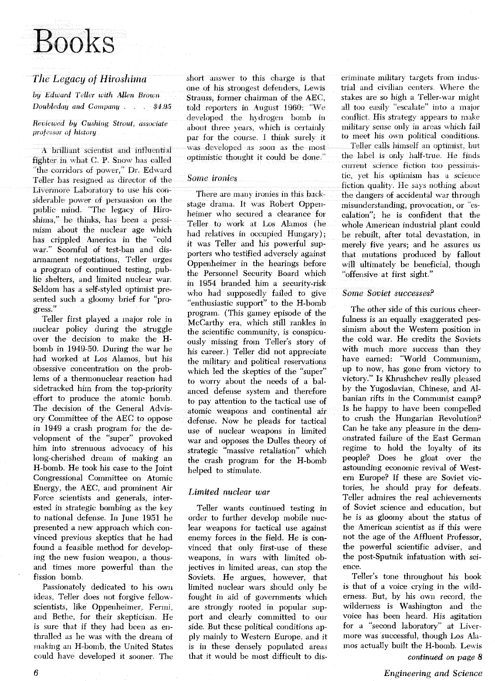# Books

**hy Edward Teller with Allen Brown Strauss**, former chairman of the AEC, <br> **Doubleday and Company** . . . . \$4.95 told reporters in Angust 1960: "We

fighter in what C. P. Snow has called 'the corridors of power," Dr. Edward Teller has resigned as director of the **Some ironies** Livermore Laboratory to use his considerable power of persuasion on the public mind. "The legacy of Hiroshima," he think, has been a pessimism about the nuclear age which has crippled America in the "cold war." Scornful of test-ban and disarmament negotiations, Teller urges a program of continued testing, puhlie shelters, and limited nuclear war. Seldom has a self-styled optimist presented such a gloomy brief for "progress."

Teller first played a major role in nuclear policy during the struggle over the decision to make the Hbomb in 1949-50. During the war he had worked at Los Alamos, but his obsessive concentration on the problems of a thermonuclear reaction had sidetracked him from the top-priority effort to produce the atomic bomb. The decision of the General Advisory Committee of the AEC to oppose in 1949 a crash program for the development of the "super" provoked him into strenuous advocacy of his . . H-bomb. He took his case to the Joint helped to stimulate. Congressional Committee on Atomic Energy, the AEC, and prominent Air *Limited nuclear war* Force scientists and generals, interested in strategic bombing as the key to national defense. In June 1951 he presented a new approach which convinced previous skeptics that he had found a feasible method for developing the new fusion weapon, a thousand times more powerful than the fission bomb.

Passionately dedicated to his own ideas, Teller does not forgive fellowscientists, like Oppenheimer, Fermi, and Bethe, for their skepticism. He is sure that if they had been as enthralled as he was with the dream of making an H-bomb, the United States could have developed it sooner. The

*The Legacy of Hiroshima* short answer to this charge is that one of his strongest defenders, Lewis told reporters in August 1960; "We developed the hydrogen bomb in *Reviewed by Cushing Strout, associate* about three years, which is certainly *professor of history* par for the course. I think surely it A brilliant scientist and influential was developed as soon as the most

There are many ironies in this backstage drama. It was Robert Oppenheimer who secured a clearance for Teller to work at Los Marnos (he had relatives in occupied Hungary); it was Teller and his powerful supporters who testified adversely against Oppenheimer in the hearings before the Personnel Security Board which in 1954 branded him a security-risk who had supposedly failed to give "enthusiastic support" to the H-bomb program. (This gamey episode of the McCarthy era, which still rankles in the scientific community, is conspicuously missing from Teller's story of his career.) Teller did not appreciate the military and political reservations which led the skeptics of the "super" to worry about the needs of a balanced defense system and therefore to pay attention to the tactical use of atomic weapons and continental air defense. Now he pleads for tactical use of nuclear weapons in limited war and opposes the Dulles theory of strategic "massive retaliation" which the crash program for the H-bomb

Teller wants continued testing in order to further develop mobile nuclear weapons for tactical use against enemy forces in the field. He is convinced that only first-use of these weapons, in wars with limited objectives in limited areas, can stop the Soviets. He argues, however, that limited nuclear wars should only be fought in aid of governments which are strongly rooted in popular support and clearly committed to our side. But these political conditions apply mainly to Western Europe, and it is in these densely populated areas that it would be most difficult to discriminate military targets from industrial and civilian centers. Where the stakes are so high a Teller-war might all too easily "escalate" into a major conflict. His strategy appears to make military sense only in areas which fail to meet his own political conditions.

Teller calls himself an optimist, but the label is only half-true. He finds current science fiction too pessimistic, yet his optimism has a science fiction quality. He says nothing about the dangers of accidental war through misunderstanding, provocation, or "escalation"; he is confident that the whole American industrial plant could be rebuilt, after total devastation, in merely five years; and he assures us that mutations produced by fallout will ultimately be beneficial, though "offensive at first sight."

#### *Some Soviet successes?*

The other side of this curious cheerfulness is an equally exaggerated pessimism about the Western position in the cold war. He credits the Soviets with much more success than they have earned: "World Communism, up to now, has gone from victory to victory." Is Khrushchev really pleased by the Yugoslavian, Chinese, and Albanian rifts in the Communist camp? Is he happy to have been compelled to crush the Hungarian Revolution? Can he take any pleasure in the demonstrated failure of the East German regime to hold the loyalty of its people? Does he gloat over the astounding economic revival of Western Europe? If these are Soviet victories, he should pray for defeats. Teller admires the real achievements of Soviet science and education, but he is **as** gloomy about the status of the American scientist as if this were not the age of the Affluent Professor, the powerful scientific adviser, and the post-Sputnik infatuation with science.

Teller's tone throughout his book is that of a voice crying in the wilderness. But, by his own record, the wilderness is Washington and the voice has been heard. His agitation for a "second laboratory" at Livermore was successful, though Los Alamos actually built the H-bomb. Lewis **continued** *on page* **8** 

*6 Engineering and* **Science**